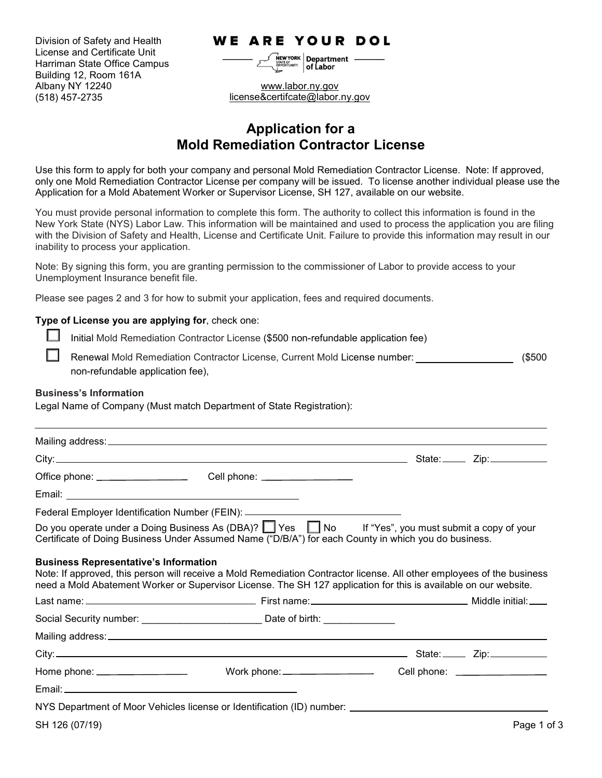Division of Safety and Health License and Certificate Unit Harriman State Office Campus Building 12, Room 161A Albany NY 12240 (518) 457-2735

## **WE ARE YOUR DOL**

 $\left| \frac{1}{\text{NEW YORK}} \right|$  Department  $\frac{1}{2}$  of Labor

www.labor.ny.gov [license&certifcate@labor.ny.gov](mailto:license&certifcate@labor.ny.gov)

# **Application for a Mold Remediation Contractor License**

Use this form to apply for both your company and personal Mold Remediation Contractor License. Note: If approved, only one Mold Remediation Contractor License per company will be issued. To license another individual please use the Application for a Mold Abatement Worker or Supervisor License, SH 127, available on our website.

You must provide personal information to complete this form. The authority to collect this information is found in the New York State (NYS) Labor Law. This information will be maintained and used to process the application you are filing with the Division of Safety and Health, License and Certificate Unit. Failure to provide this information may result in our inability to process your application.

Note: By signing this form, you are granting permission to the commissioner of Labor to provide access to your Unemployment Insurance benefit file.

Please see pages 2 and 3 for how to submit your application, fees and required documents.

## **Type of License you are applying for**, check one:

Initial Mold Remediation Contractor License (\$500 non-refundable application fee)

Renewal Mold Remediation Contractor License, Current Mold License number: \_\_\_\_\_\_\_\_\_\_\_\_\_\_\_\_\_\_\_\_\_\_\_(\$500 non-refundable application fee),

## **Business's Information**

Legal Name of Company (Must match Department of State Registration):

|                                              | Federal Employer Identification Number (FEIN): _________________________________                                                                                                                                                           |  |             |
|----------------------------------------------|--------------------------------------------------------------------------------------------------------------------------------------------------------------------------------------------------------------------------------------------|--|-------------|
|                                              | Do you operate under a Doing Business As (DBA)? Yes No If "Yes", you must submit a copy of your<br>Certificate of Doing Business Under Assumed Name ("D/B/A") for each County in which you do business.                                    |  |             |
| <b>Business Representative's Information</b> | Note: If approved, this person will receive a Mold Remediation Contractor license. All other employees of the business<br>need a Mold Abatement Worker or Supervisor License. The SH 127 application for this is available on our website. |  |             |
|                                              |                                                                                                                                                                                                                                            |  |             |
|                                              |                                                                                                                                                                                                                                            |  |             |
|                                              |                                                                                                                                                                                                                                            |  |             |
|                                              |                                                                                                                                                                                                                                            |  |             |
|                                              |                                                                                                                                                                                                                                            |  |             |
|                                              |                                                                                                                                                                                                                                            |  |             |
|                                              |                                                                                                                                                                                                                                            |  |             |
| SH 126 (07/19)                               |                                                                                                                                                                                                                                            |  | Page 1 of 3 |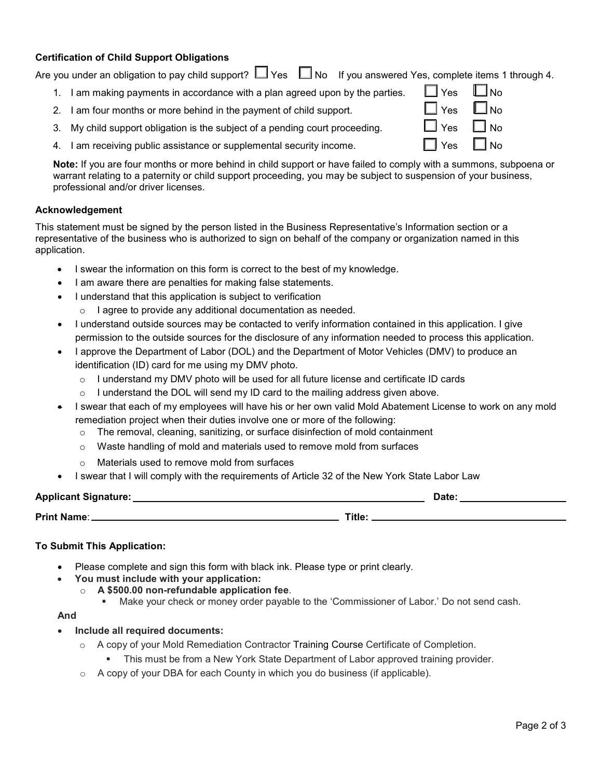## **Certification of Child Support Obligations**

|    | Are you under an obligation to pay child support? $\Box$ Yes $\Box$ No If you answered Yes, complete items 1 through 4. |               |           |
|----|-------------------------------------------------------------------------------------------------------------------------|---------------|-----------|
|    | I am making payments in accordance with a plan agreed upon by the parties.                                              | $\Box$ Yes    | $\Box$ No |
|    | 2. I am four months or more behind in the payment of child support.                                                     | $\Box$ Yes    | No ا      |
|    | 3. My child support obligation is the subject of a pending court proceeding.                                            | $\square$ Yes | l No      |
| 4. | I am receiving public assistance or supplemental security income.                                                       | 'Yes          | <b>No</b> |

**Note:** If you are four months or more behind in child support or have failed to comply with a summons, subpoena or warrant relating to a paternity or child support proceeding, you may be subject to suspension of your business, professional and/or driver licenses.

## **Acknowledgement**

This statement must be signed by the person listed in the Business Representative's Information section or a representative of the business who is authorized to sign on behalf of the company or organization named in this application.

- I swear the information on this form is correct to the best of my knowledge.
- I am aware there are penalties for making false statements.
- I understand that this application is subject to verification
	- o I agree to provide any additional documentation as needed.
- I understand outside sources may be contacted to verify information contained in this application. I give permission to the outside sources for the disclosure of any information needed to process this application.
- I approve the Department of Labor (DOL) and the Department of Motor Vehicles (DMV) to produce an identification (ID) card for me using my DMV photo.
	- $\circ$  I understand my DMV photo will be used for all future license and certificate ID cards
	- $\circ$  I understand the DOL will send my ID card to the mailing address given above.
- I swear that each of my employees will have his or her own valid Mold Abatement License to work on any mold remediation project when their duties involve one or more of the following:
	- o The removal, cleaning, sanitizing, or surface disinfection of mold containment
	- $\circ$  Waste handling of mold and materials used to remove mold from surfaces
	- o Materials used to remove mold from surfaces
- I swear that I will comply with the requirements of Article 32 of the New York State Labor Law

| <b>Applicant Signature:</b> | Date  |  |  |
|-----------------------------|-------|--|--|
| <b>Print Name:</b>          | Title |  |  |

## **To Submit This Application:**

- Please complete and sign this form with black ink. Please type or print clearly.
	- **You must include with your application:**
		- o **A \$500.00 non-refundable application fee**.
			- Make your check or money order payable to the 'Commissioner of Labor.' Do not send cash.

#### **And**

## • **Include all required documents:**

- o A copy of your Mold Remediation Contractor Training Course Certificate of Completion.
	- This must be from a New York State Department of Labor approved training provider.
- o A copy of your DBA for each County in which you do business (if applicable).